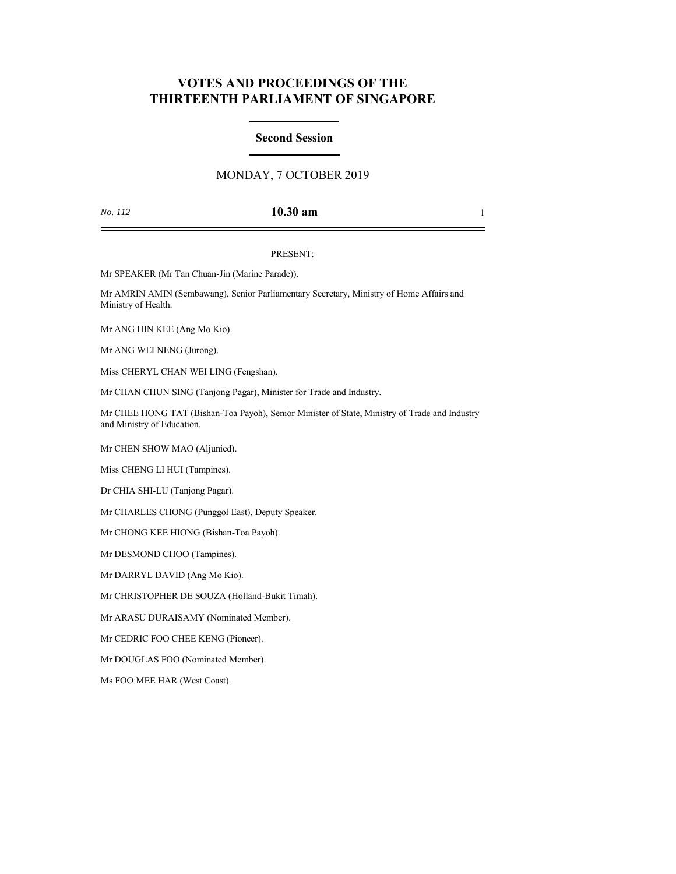# **VOTES AND PROCEEDINGS OF THE THIRTEENTH PARLIAMENT OF SINGAPORE**

## **Second Session**

## MONDAY, 7 OCTOBER 2019

## *No. 112* **10.30 am** 1

### PRESENT:

Mr SPEAKER (Mr Tan Chuan-Jin (Marine Parade)).

Mr AMRIN AMIN (Sembawang), Senior Parliamentary Secretary, Ministry of Home Affairs and Ministry of Health.

Mr ANG HIN KEE (Ang Mo Kio).

Mr ANG WEI NENG (Jurong).

Miss CHERYL CHAN WEI LING (Fengshan).

Mr CHAN CHUN SING (Tanjong Pagar), Minister for Trade and Industry.

Mr CHEE HONG TAT (Bishan-Toa Payoh), Senior Minister of State, Ministry of Trade and Industry and Ministry of Education.

Mr CHEN SHOW MAO (Aljunied).

Miss CHENG LI HUI (Tampines).

Dr CHIA SHI-LU (Tanjong Pagar).

Mr CHARLES CHONG (Punggol East), Deputy Speaker.

Mr CHONG KEE HIONG (Bishan-Toa Payoh).

Mr DESMOND CHOO (Tampines).

Mr DARRYL DAVID (Ang Mo Kio).

Mr CHRISTOPHER DE SOUZA (Holland-Bukit Timah).

Mr ARASU DURAISAMY (Nominated Member).

Mr CEDRIC FOO CHEE KENG (Pioneer).

Mr DOUGLAS FOO (Nominated Member).

Ms FOO MEE HAR (West Coast).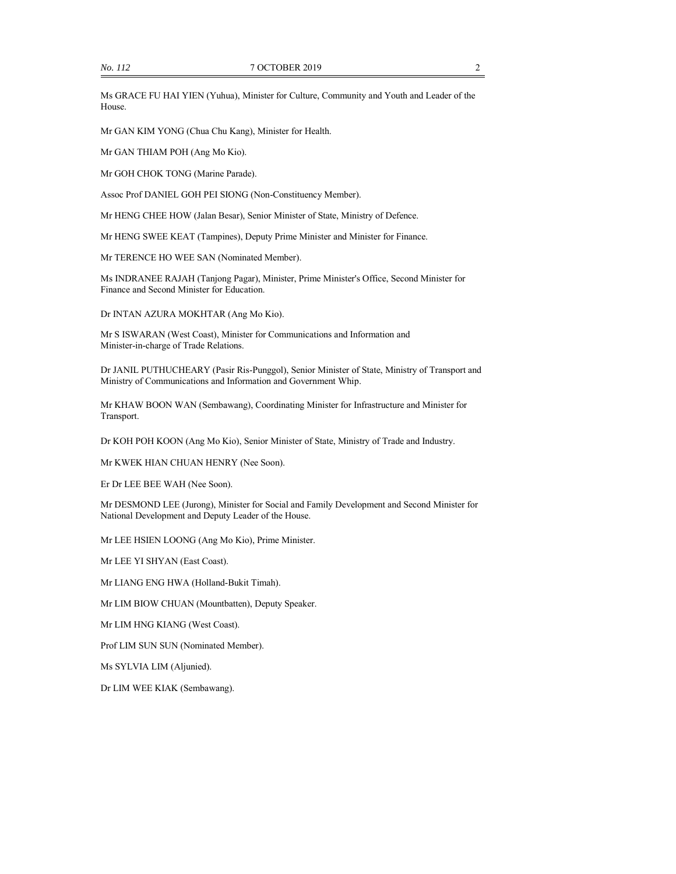Ms GRACE FU HAI YIEN (Yuhua), Minister for Culture, Community and Youth and Leader of the House.

Mr GAN KIM YONG (Chua Chu Kang), Minister for Health.

Mr GAN THIAM POH (Ang Mo Kio).

Mr GOH CHOK TONG (Marine Parade).

Assoc Prof DANIEL GOH PEI SIONG (Non-Constituency Member).

Mr HENG CHEE HOW (Jalan Besar), Senior Minister of State, Ministry of Defence.

Mr HENG SWEE KEAT (Tampines), Deputy Prime Minister and Minister for Finance.

Mr TERENCE HO WEE SAN (Nominated Member).

Ms INDRANEE RAJAH (Tanjong Pagar), Minister, Prime Minister's Office, Second Minister for Finance and Second Minister for Education.

Dr INTAN AZURA MOKHTAR (Ang Mo Kio).

Mr S ISWARAN (West Coast), Minister for Communications and Information and Minister-in-charge of Trade Relations.

Dr JANIL PUTHUCHEARY (Pasir Ris-Punggol), Senior Minister of State, Ministry of Transport and Ministry of Communications and Information and Government Whip.

Mr KHAW BOON WAN (Sembawang), Coordinating Minister for Infrastructure and Minister for Transport.

Dr KOH POH KOON (Ang Mo Kio), Senior Minister of State, Ministry of Trade and Industry.

Mr KWEK HIAN CHUAN HENRY (Nee Soon).

Er Dr LEE BEE WAH (Nee Soon).

Mr DESMOND LEE (Jurong), Minister for Social and Family Development and Second Minister for National Development and Deputy Leader of the House.

Mr LEE HSIEN LOONG (Ang Mo Kio), Prime Minister.

Mr LEE YI SHYAN (East Coast).

Mr LIANG ENG HWA (Holland-Bukit Timah).

Mr LIM BIOW CHUAN (Mountbatten), Deputy Speaker.

Mr LIM HNG KIANG (West Coast).

Prof LIM SUN SUN (Nominated Member).

Ms SYLVIA LIM (Aljunied).

Dr LIM WEE KIAK (Sembawang).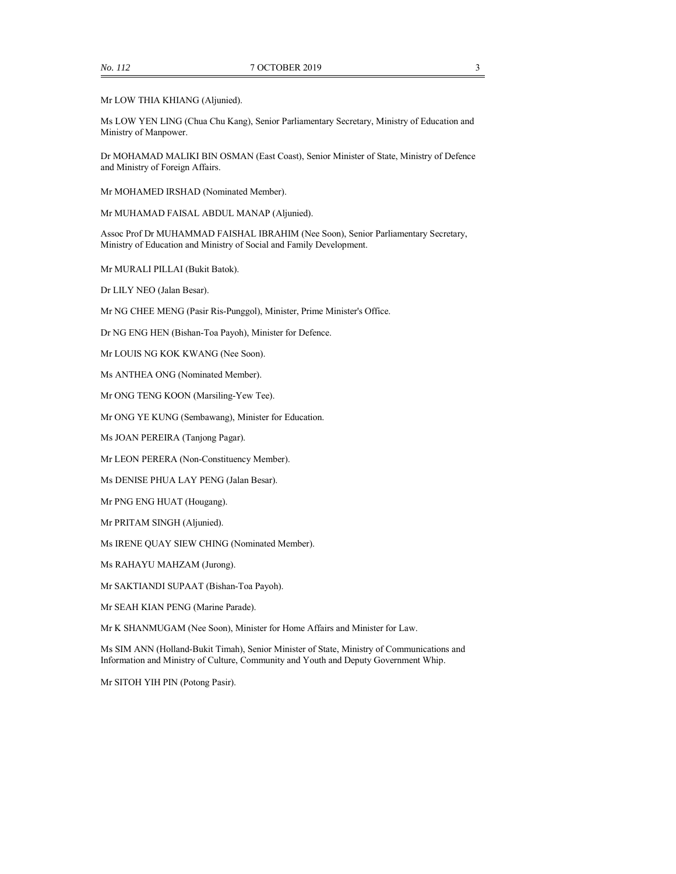Mr LOW THIA KHIANG (Aljunied).

Ms LOW YEN LING (Chua Chu Kang), Senior Parliamentary Secretary, Ministry of Education and Ministry of Manpower.

Dr MOHAMAD MALIKI BIN OSMAN (East Coast), Senior Minister of State, Ministry of Defence and Ministry of Foreign Affairs.

Mr MOHAMED IRSHAD (Nominated Member).

Mr MUHAMAD FAISAL ABDUL MANAP (Aljunied).

Assoc Prof Dr MUHAMMAD FAISHAL IBRAHIM (Nee Soon), Senior Parliamentary Secretary, Ministry of Education and Ministry of Social and Family Development.

Mr MURALI PILLAI (Bukit Batok).

Dr LILY NEO (Jalan Besar).

Mr NG CHEE MENG (Pasir Ris-Punggol), Minister, Prime Minister's Office.

Dr NG ENG HEN (Bishan-Toa Payoh), Minister for Defence.

Mr LOUIS NG KOK KWANG (Nee Soon).

Ms ANTHEA ONG (Nominated Member).

Mr ONG TENG KOON (Marsiling-Yew Tee).

Mr ONG YE KUNG (Sembawang), Minister for Education.

Ms JOAN PEREIRA (Tanjong Pagar).

Mr LEON PERERA (Non-Constituency Member).

Ms DENISE PHUA LAY PENG (Jalan Besar).

Mr PNG ENG HUAT (Hougang).

Mr PRITAM SINGH (Aljunied).

Ms IRENE QUAY SIEW CHING (Nominated Member).

Ms RAHAYU MAHZAM (Jurong).

Mr SAKTIANDI SUPAAT (Bishan-Toa Payoh).

Mr SEAH KIAN PENG (Marine Parade).

Mr K SHANMUGAM (Nee Soon), Minister for Home Affairs and Minister for Law.

Ms SIM ANN (Holland-Bukit Timah), Senior Minister of State, Ministry of Communications and Information and Ministry of Culture, Community and Youth and Deputy Government Whip.

Mr SITOH YIH PIN (Potong Pasir).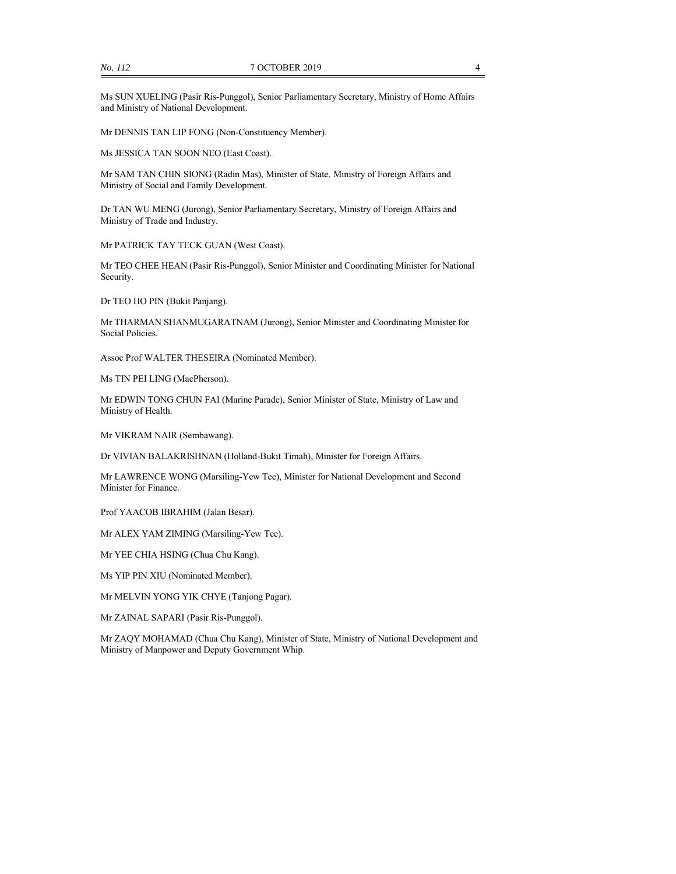Ms SUN XUELING (Pasir Ris-Punggol), Senior Parliamentary Secretary, Ministry of Home Affairs and Ministry of National Development.

Mr DENNIS TAN LIP FONG (Non-Constituency Member).

Ms JESSICA TAN SOON NEO (East Coast).

Mr SAM TAN CHIN SIONG (Radin Mas), Minister of State, Ministry of Foreign Affairs and Ministry of Social and Family Development.

Dr TAN WU MENG (Jurong), Senior Parliamentary Secretary, Ministry of Foreign Affairs and Ministry of Trade and Industry.

Mr PATRICK TAY TECK GUAN (West Coast).

Mr TEO CHEE HEAN (Pasir Ris-Punggol), Senior Minister and Coordinating Minister for National Security.

Dr TEO HO PIN (Bukit Panjang).

Mr THARMAN SHANMUGARATNAM (Jurong), Senior Minister and Coordinating Minister for Social Policies.

Assoc Prof WALTER THESEIRA (Nominated Member).

Ms TIN PEI LING (MacPherson).

Mr EDWIN TONG CHUN FAI (Marine Parade), Senior Minister of State, Ministry of Law and Ministry of Health.

Mr VIKRAM NAIR (Sembawang).

Dr VIVIAN BALAKRISHNAN (Holland-Bukit Timah), Minister for Foreign Affairs.

Mr LAWRENCE WONG (Marsiling-Yew Tee), Minister for National Development and Second Minister for Finance.

Prof YAACOB IBRAHIM (Jalan Besar).

Mr ALEX YAM ZIMING (Marsiling-Yew Tee).

Mr YEE CHIA HSING (Chua Chu Kang).

Ms YIP PIN XIU (Nominated Member).

Mr MELVIN YONG YIK CHYE (Tanjong Pagar).

Mr ZAINAL SAPARI (Pasir Ris-Punggol).

Mr ZAQY MOHAMAD (Chua Chu Kang), Minister of State, Ministry of National Development and Ministry of Manpower and Deputy Government Whip.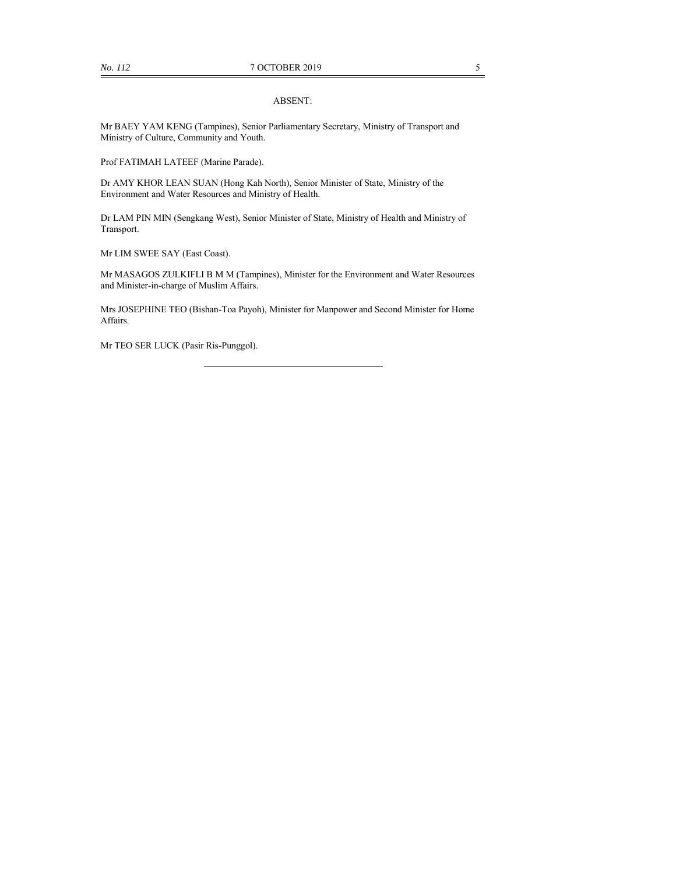#### ABSENT:

Mr BAEY YAM KENG (Tampines), Senior Parliamentary Secretary, Ministry of Transport and Ministry of Culture, Community and Youth.

Prof FATIMAH LATEEF (Marine Parade).

Dr AMY KHOR LEAN SUAN (Hong Kah North), Senior Minister of State, Ministry of the Environment and Water Resources and Ministry of Health.

Dr LAM PIN MIN (Sengkang West), Senior Minister of State, Ministry of Health and Ministry of Transport.

Mr LIM SWEE SAY (East Coast).

Mr MASAGOS ZULKIFLI B M M (Tampines), Minister for the Environment and Water Resources and Minister-in-charge of Muslim Affairs.

Mrs JOSEPHINE TEO (Bishan-Toa Payoh), Minister for Manpower and Second Minister for Home Affairs.

Mr TEO SER LUCK (Pasir Ris-Punggol).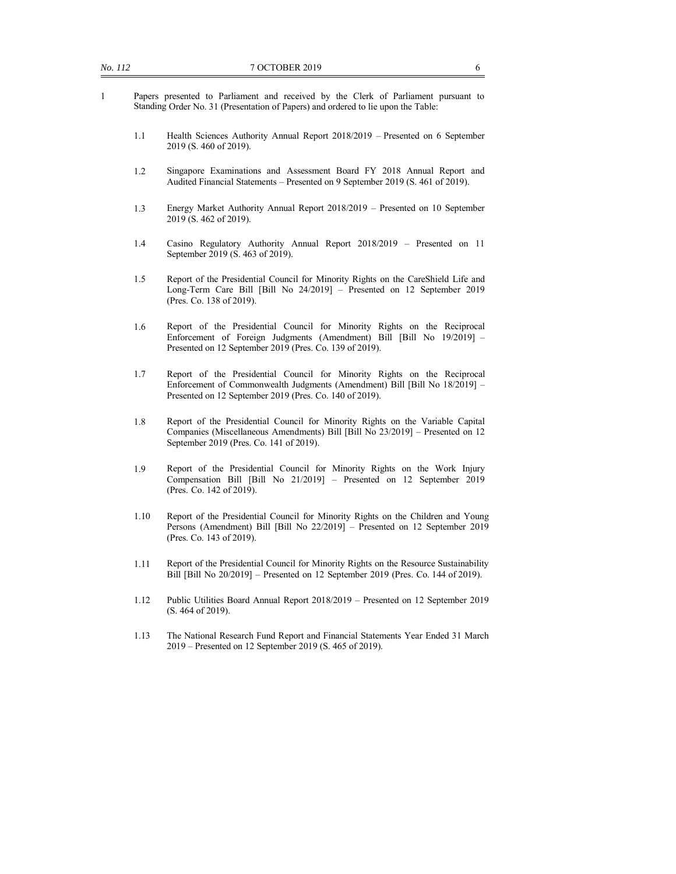- 1 Papers presented to Parliament and received by the Clerk of Parliament pursuant to Standing Order No. 31 (Presentation of Papers) and ordered to lie upon the Table:
	- 1.1 Health Sciences Authority Annual Report 2018/2019 Presented on 6 September 2019 (S. 460 of 2019).
	- 1.2 Singapore Examinations and Assessment Board FY 2018 Annual Report and Audited Financial Statements – Presented on 9 September 2019 (S. 461 of 2019).
	- 1.3 Energy Market Authority Annual Report 2018/2019 Presented on 10 September 2019 (S. 462 of 2019).
	- 1.4 Casino Regulatory Authority Annual Report 2018/2019 Presented on 11 September 2019 (S. 463 of 2019).
	- 1.5 Report of the Presidential Council for Minority Rights on the CareShield Life and Long-Term Care Bill [Bill No 24/2019] – Presented on 12 September 2019 (Pres. Co. 138 of 2019).
	- 1.6 Report of the Presidential Council for Minority Rights on the Reciprocal Enforcement of Foreign Judgments (Amendment) Bill [Bill No 19/2019] – Presented on 12 September 2019 (Pres. Co. 139 of 2019).
	- 1.7 Report of the Presidential Council for Minority Rights on the Reciprocal Enforcement of Commonwealth Judgments (Amendment) Bill [Bill No 18/2019] – Presented on 12 September 2019 (Pres. Co. 140 of 2019).
	- 1.8 Report of the Presidential Council for Minority Rights on the Variable Capital Companies (Miscellaneous Amendments) Bill [Bill No 23/2019] – Presented on 12 September 2019 (Pres. Co. 141 of 2019).
	- 1.9 Report of the Presidential Council for Minority Rights on the Work Injury Compensation Bill [Bill No 21/2019] – Presented on 12 September 2019 (Pres. Co. 142 of 2019).
	- 1.10 Report of the Presidential Council for Minority Rights on the Children and Young Persons (Amendment) Bill [Bill No 22/2019] – Presented on 12 September 2019 (Pres. Co. 143 of 2019).
	- 1.11 Report of the Presidential Council for Minority Rights on the Resource Sustainability Bill [Bill No 20/2019] – Presented on 12 September 2019 (Pres. Co. 144 of 2019).
	- 1.12 Public Utilities Board Annual Report 2018/2019 Presented on 12 September 2019 (S. 464 of 2019).
	- 1.13 The National Research Fund Report and Financial Statements Year Ended 31 March 2019 – Presented on 12 September 2019 (S. 465 of 2019).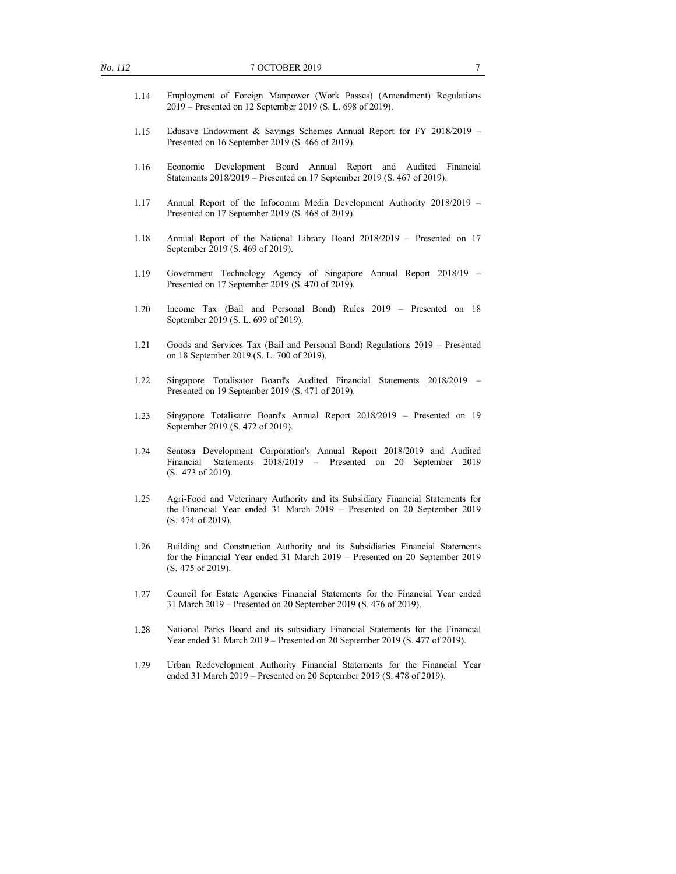- 1.14 Employment of Foreign Manpower (Work Passes) (Amendment) Regulations 2019 – Presented on 12 September 2019 (S. L. 698 of 2019).
- 1.15 Edusave Endowment & Savings Schemes Annual Report for FY 2018/2019 Presented on 16 September 2019 (S. 466 of 2019).
- 1.16 Economic Development Board Annual Report and Audited Financial Statements 2018/2019 – Presented on 17 September 2019 (S. 467 of 2019).
- 1.17 Annual Report of the Infocomm Media Development Authority 2018/2019 Presented on 17 September 2019 (S. 468 of 2019).
- 1.18 Annual Report of the National Library Board 2018/2019 Presented on 17 September 2019 (S. 469 of 2019).
- 1.19 Government Technology Agency of Singapore Annual Report 2018/19 Presented on 17 September 2019 (S. 470 of 2019).
- 1.20 Income Tax (Bail and Personal Bond) Rules 2019 Presented on 18 September 2019 (S. L. 699 of 2019).
- 1.21 Goods and Services Tax (Bail and Personal Bond) Regulations 2019 Presented on 18 September 2019 (S. L. 700 of 2019).
- 1.22 Singapore Totalisator Board's Audited Financial Statements 2018/2019 Presented on 19 September 2019 (S. 471 of 2019).
- 1.23 Singapore Totalisator Board's Annual Report 2018/2019 Presented on 19 September 2019 (S. 472 of 2019).
- 1.24 Sentosa Development Corporation's Annual Report 2018/2019 and Audited Financial Statements 2018/2019 – Presented on 20 September 2019 (S. 473 of 2019).
- 1.25 Agri-Food and Veterinary Authority and its Subsidiary Financial Statements for the Financial Year ended 31 March 2019 – Presented on 20 September 2019 (S. 474 of 2019).
- 1.26 Building and Construction Authority and its Subsidiaries Financial Statements for the Financial Year ended 31 March 2019 – Presented on 20 September 2019 (S. 475 of 2019).
- 1.27 Council for Estate Agencies Financial Statements for the Financial Year ended 31 March 2019 – Presented on 20 September 2019 (S. 476 of 2019).
- 1.28 National Parks Board and its subsidiary Financial Statements for the Financial Year ended 31 March 2019 – Presented on 20 September 2019 (S. 477 of 2019).
- 1.29 Urban Redevelopment Authority Financial Statements for the Financial Year ended 31 March 2019 – Presented on 20 September 2019 (S. 478 of 2019).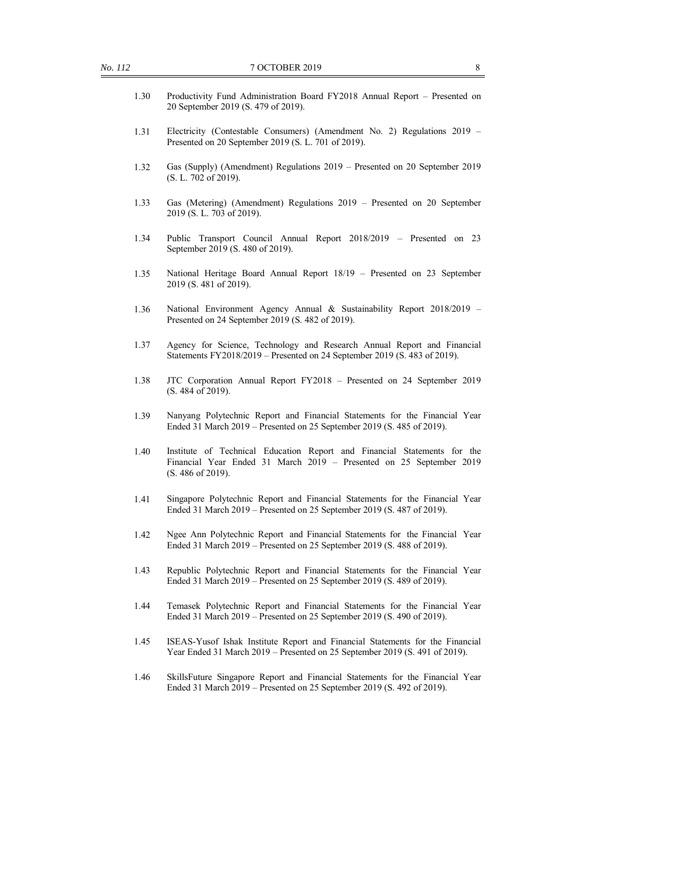- 1.30 Productivity Fund Administration Board FY2018 Annual Report Presented on 20 September 2019 (S. 479 of 2019).
- 1.31 Electricity (Contestable Consumers) (Amendment No. 2) Regulations 2019 Presented on 20 September 2019 (S. L. 701 of 2019).
- 1.32 Gas (Supply) (Amendment) Regulations 2019 Presented on 20 September 2019 (S. L. 702 of 2019).
- 1.33 Gas (Metering) (Amendment) Regulations 2019 Presented on 20 September 2019 (S. L. 703 of 2019).
- 1.34 Public Transport Council Annual Report 2018/2019 Presented on 23 September 2019 (S. 480 of 2019).
- 1.35 National Heritage Board Annual Report 18/19 Presented on 23 September 2019 (S. 481 of 2019).
- 1.36 National Environment Agency Annual & Sustainability Report 2018/2019 Presented on 24 September 2019 (S. 482 of 2019).
- 1.37 Agency for Science, Technology and Research Annual Report and Financial Statements FY2018/2019 – Presented on 24 September 2019 (S. 483 of 2019).
- 1.38 JTC Corporation Annual Report FY2018 Presented on 24 September 2019 (S. 484 of 2019).
- 1.39 Nanyang Polytechnic Report and Financial Statements for the Financial Year Ended 31 March 2019 – Presented on 25 September 2019 (S. 485 of 2019).
- 1.40 Institute of Technical Education Report and Financial Statements for the Financial Year Ended 31 March 2019 – Presented on 25 September 2019 (S. 486 of 2019).
- 1.41 Singapore Polytechnic Report and Financial Statements for the Financial Year Ended 31 March 2019 – Presented on 25 September 2019 (S. 487 of 2019).
- 1.42 Ngee Ann Polytechnic Report and Financial Statements for the Financial Year Ended 31 March 2019 – Presented on 25 September 2019 (S. 488 of 2019).
- 1.43 Republic Polytechnic Report and Financial Statements for the Financial Year Ended 31 March 2019 – Presented on 25 September 2019 (S. 489 of 2019).
- 1.44 Temasek Polytechnic Report and Financial Statements for the Financial Year Ended 31 March 2019 – Presented on 25 September 2019 (S. 490 of 2019).
- 1.45 ISEAS-Yusof Ishak Institute Report and Financial Statements for the Financial Year Ended 31 March 2019 – Presented on 25 September 2019 (S. 491 of 2019).
- 1.46 SkillsFuture Singapore Report and Financial Statements for the Financial Year Ended 31 March 2019 – Presented on 25 September 2019 (S. 492 of 2019).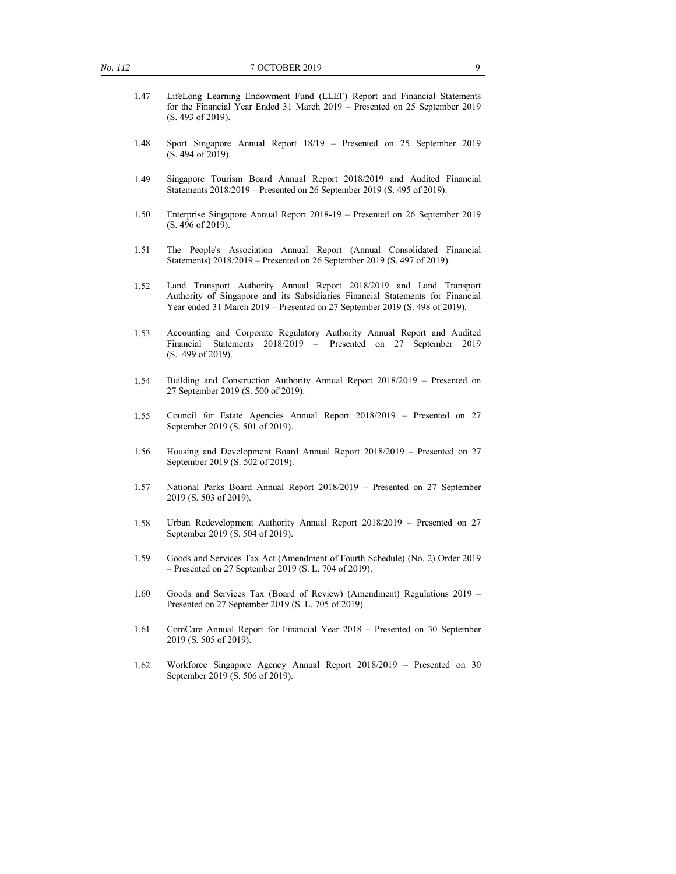- 1.47 LifeLong Learning Endowment Fund (LLEF) Report and Financial Statements for the Financial Year Ended 31 March 2019 – Presented on 25 September 2019 (S. 493 of 2019).
- 1.48 Sport Singapore Annual Report 18/19 Presented on 25 September 2019 (S. 494 of 2019).
- 1.49 Singapore Tourism Board Annual Report 2018/2019 and Audited Financial Statements 2018/2019 – Presented on 26 September 2019 (S. 495 of 2019).
- 1.50 Enterprise Singapore Annual Report 2018-19 Presented on 26 September 2019 (S. 496 of 2019).
- 1.51 The People's Association Annual Report (Annual Consolidated Financial Statements) 2018/2019 – Presented on 26 September 2019 (S. 497 of 2019).
- 1.52 Land Transport Authority Annual Report 2018/2019 and Land Transport Authority of Singapore and its Subsidiaries Financial Statements for Financial Year ended 31 March 2019 – Presented on 27 September 2019 (S. 498 of 2019).
- 1.53 Accounting and Corporate Regulatory Authority Annual Report and Audited Financial Statements 2018/2019 – Presented on 27 September 2019 (S. 499 of 2019).
- 1.54 Building and Construction Authority Annual Report 2018/2019 Presented on 27 September 2019 (S. 500 of 2019).
- 1.55 Council for Estate Agencies Annual Report 2018/2019 Presented on 27 September 2019 (S. 501 of 2019).
- 1.56 Housing and Development Board Annual Report 2018/2019 Presented on 27 September 2019 (S. 502 of 2019).
- 1.57 National Parks Board Annual Report 2018/2019 Presented on 27 September 2019 (S. 503 of 2019).
- 1.58 Urban Redevelopment Authority Annual Report 2018/2019 Presented on 27 September 2019 (S. 504 of 2019).
- 1.59 Goods and Services Tax Act (Amendment of Fourth Schedule) (No. 2) Order 2019 – Presented on 27 September 2019 (S. L. 704 of 2019).
- 1.60 Goods and Services Tax (Board of Review) (Amendment) Regulations 2019 Presented on 27 September 2019 (S. L. 705 of 2019).
- 1.61 ComCare Annual Report for Financial Year 2018 Presented on 30 September 2019 (S. 505 of 2019).
- 1.62 Workforce Singapore Agency Annual Report 2018/2019 Presented on 30 September 2019 (S. 506 of 2019).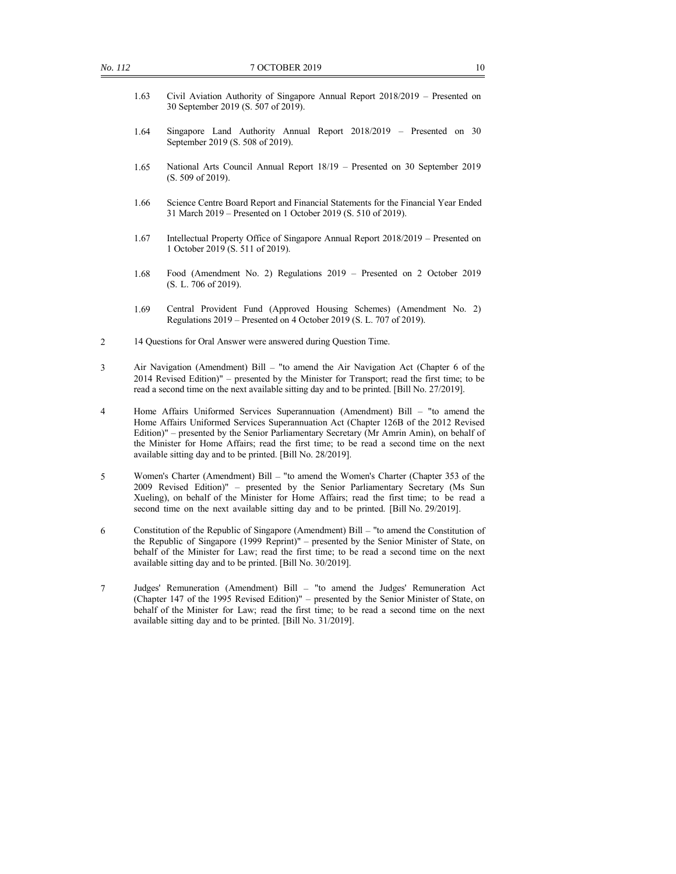- 1.63 Civil Aviation Authority of Singapore Annual Report 2018/2019 Presented on 30 September 2019 (S. 507 of 2019).
- 1.64 Singapore Land Authority Annual Report 2018/2019 Presented on 30 September 2019 (S. 508 of 2019).
- 1.65 National Arts Council Annual Report 18/19 Presented on 30 September 2019 (S. 509 of 2019).
- 1.66 Science Centre Board Report and Financial Statements for the Financial Year Ended 31 March 2019 – Presented on 1 October 2019 (S. 510 of 2019).
- 1.67 Intellectual Property Office of Singapore Annual Report 2018/2019 Presented on 1 October 2019 (S. 511 of 2019).
- 1.68 Food (Amendment No. 2) Regulations 2019 Presented on 2 October 2019 (S. L. 706 of 2019).
- 1.69 Central Provident Fund (Approved Housing Schemes) (Amendment No. 2) Regulations 2019 – Presented on 4 October 2019 (S. L. 707 of 2019).
- 2 14 Questions for Oral Answer were answered during Question Time.
- 3 Air Navigation (Amendment) Bill "to amend the Air Navigation Act (Chapter 6 of the 2014 Revised Edition)" – presented by the Minister for Transport; read the first time; to be read a second time on the next available sitting day and to be printed. [Bill No. 27/2019].
- 4 Home Affairs Uniformed Services Superannuation (Amendment) Bill "to amend the Home Affairs Uniformed Services Superannuation Act (Chapter 126B of the 2012 Revised Edition)" – presented by the Senior Parliamentary Secretary (Mr Amrin Amin), on behalf of the Minister for Home Affairs; read the first time; to be read a second time on the next available sitting day and to be printed. [Bill No. 28/2019].
- 5 Women's Charter (Amendment) Bill "to amend the Women's Charter (Chapter 353 of the 2009 Revised Edition)" – presented by the Senior Parliamentary Secretary (Ms Sun Xueling), on behalf of the Minister for Home Affairs; read the first time; to be read a second time on the next available sitting day and to be printed. [Bill No. 29/2019].
- 6 Constitution of the Republic of Singapore (Amendment) Bill "to amend the Constitution of the Republic of Singapore (1999 Reprint)" – presented by the Senior Minister of State, on behalf of the Minister for Law; read the first time; to be read a second time on the next available sitting day and to be printed. [Bill No. 30/2019].
- 7 Judges' Remuneration (Amendment) Bill "to amend the Judges' Remuneration Act (Chapter 147 of the 1995 Revised Edition)" – presented by the Senior Minister of State, on behalf of the Minister for Law; read the first time; to be read a second time on the next available sitting day and to be printed. [Bill No. 31/2019].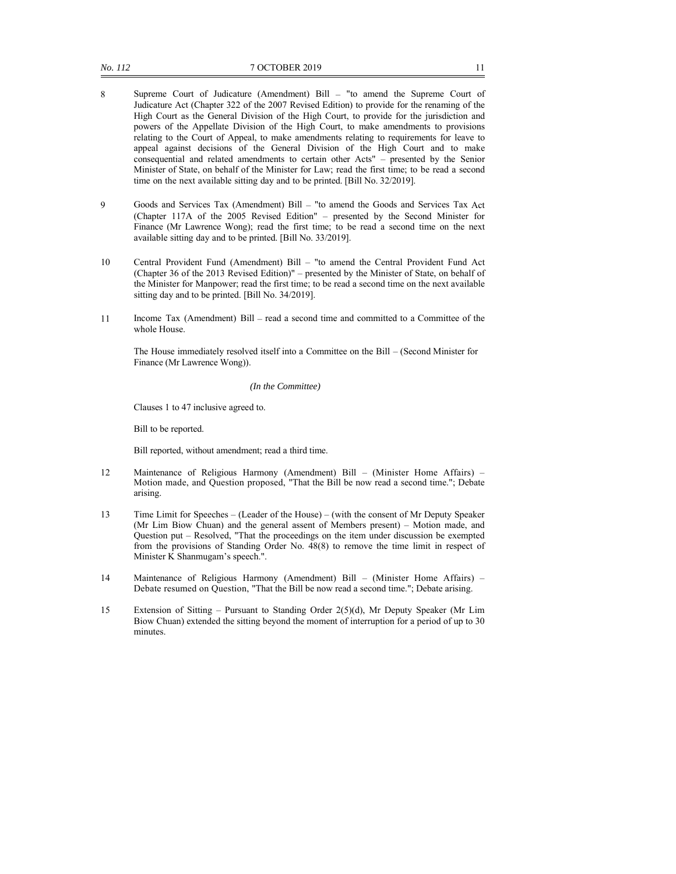- 8 Supreme Court of Judicature (Amendment) Bill "to amend the Supreme Court of Judicature Act (Chapter 322 of the 2007 Revised Edition) to provide for the renaming of the High Court as the General Division of the High Court, to provide for the jurisdiction and powers of the Appellate Division of the High Court, to make amendments to provisions relating to the Court of Appeal, to make amendments relating to requirements for leave to appeal against decisions of the General Division of the High Court and to make consequential and related amendments to certain other Acts" – presented by the Senior Minister of State, on behalf of the Minister for Law; read the first time; to be read a second time on the next available sitting day and to be printed. [Bill No. 32/2019].
- 9 Goods and Services Tax (Amendment) Bill "to amend the Goods and Services Tax Act (Chapter 117A of the 2005 Revised Edition" – presented by the Second Minister for Finance (Mr Lawrence Wong); read the first time; to be read a second time on the next available sitting day and to be printed. [Bill No. 33/2019].
- 10 Central Provident Fund (Amendment) Bill "to amend the Central Provident Fund Act (Chapter 36 of the 2013 Revised Edition)" – presented by the Minister of State, on behalf of the Minister for Manpower; read the first time; to be read a second time on the next available sitting day and to be printed. [Bill No. 34/2019].
- 11 Income Tax (Amendment) Bill read a second time and committed to a Committee of the whole House.

The House immediately resolved itself into a Committee on the Bill – (Second Minister for Finance (Mr Lawrence Wong)).

#### *(In the Committee)*

Clauses 1 to 47 inclusive agreed to.

Bill to be reported.

Bill reported, without amendment; read a third time.

- 12 Maintenance of Religious Harmony (Amendment) Bill (Minister Home Affairs) Motion made, and Question proposed, "That the Bill be now read a second time."; Debate arising.
- 13 Time Limit for Speeches (Leader of the House) (with the consent of Mr Deputy Speaker (Mr Lim Biow Chuan) and the general assent of Members present) – Motion made, and Question put – Resolved, "That the proceedings on the item under discussion be exempted from the provisions of Standing Order No. 48(8) to remove the time limit in respect of Minister K Shanmugam's speech.".
- 14 Maintenance of Religious Harmony (Amendment) Bill (Minister Home Affairs) Debate resumed on Question, "That the Bill be now read a second time."; Debate arising.
- 15 Extension of Sitting Pursuant to Standing Order 2(5)(d), Mr Deputy Speaker (Mr Lim Biow Chuan) extended the sitting beyond the moment of interruption for a period of up to 30 minutes.